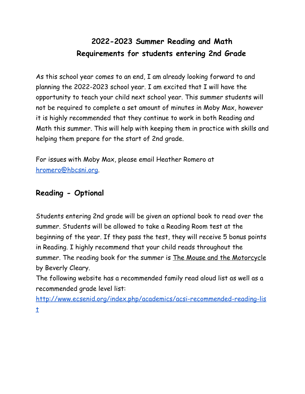## **2022-2023 Summer Reading and Math Requirements for students entering 2nd Grade**

As this school year comes to an end, I am already looking forward to and planning the 2022-2023 school year. I am excited that I will have the opportunity to teach your child next school year. This summer students will not be required to complete a set amount of minutes in Moby Max, however it is highly recommended that they continue to work in both Reading and Math this summer. This will help with keeping them in practice with skills and helping them prepare for the start of 2nd grade.

For issues with Moby Max, please email Heather Romero at [hromero@hbcsni.org.](mailto:hromero@hbcsni.org)

## **Reading - Optional**

Students entering 2nd grade will be given an optional book to read over the summer. Students will be allowed to take a Reading Room test at the beginning of the year. If they pass the test, they will receive 5 bonus points in Reading. I highly recommend that your child reads throughout the summer. The reading book for the summer is The Mouse and the Motorcycle by Beverly Cleary.

The following website has a recommended family read aloud list as well as a recommended grade level list:

[http://www.ecsenid.org/index.php/academics/acsi-recommended-reading-lis](http://www.ecsenid.org/index.php/academics/acsi-recommended-reading-list) [t](http://www.ecsenid.org/index.php/academics/acsi-recommended-reading-list)